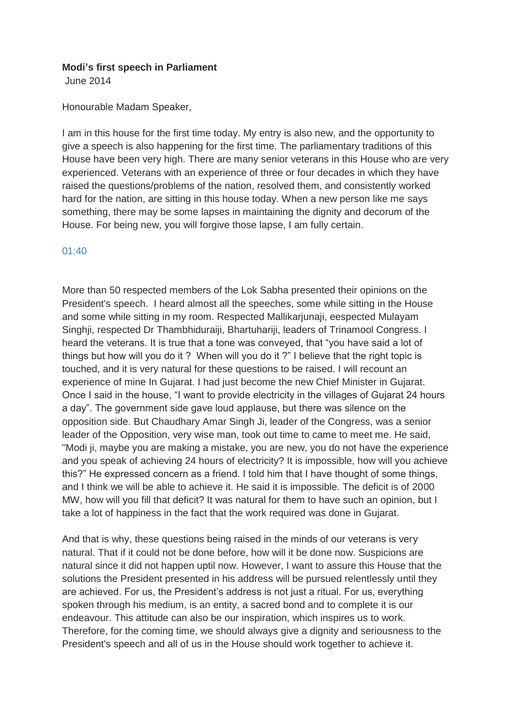## **Modi's first speech in Parliament**

June 2014

Honourable Madam Speaker,

I am in this house for the first time today. My entry is also new, and the opportunity to give a speech is also happening for the first time. The parliamentary traditions of this House have been very high. There are many senior veterans in this House who are very experienced. Veterans with an experience of three or four decades in which they have raised the questions/problems of the nation, resolved them, and consistently worked hard for the nation, are sitting in this house today. When a new person like me says something, there may be some lapses in maintaining the dignity and decorum of the House. For being new, you will forgive those lapse, I am fully certain.

## 01:40

More than 50 respected members of the Lok Sabha presented their opinions on the President's speech. I heard almost all the speeches, some while sitting in the House and some while sitting in my room. Respected Mallikarjunaji, eespected Mulayam Singhji, respected Dr Thambhiduraiji, Bhartuhariji, leaders of Trinamool Congress. I heard the veterans. It is true that a tone was conveyed, that "you have said a lot of things but how will you do it ? When will you do it ?" I believe that the right topic is touched, and it is very natural for these questions to be raised. I will recount an experience of mine In Gujarat. I had just become the new Chief Minister in Gujarat. Once I said in the house, "I want to provide electricity in the villages of Gujarat 24 hours a day". The government side gave loud applause, but there was silence on the opposition side. But Chaudhary Amar Singh Ji, leader of the Congress, was a senior leader of the Opposition, very wise man, took out time to came to meet me. He said, "Modi ji, maybe you are making a mistake, you are new, you do not have the experience and you speak of achieving 24 hours of electricity? It is impossible, how will you achieve this?" He expressed concern as a friend. I told him that I have thought of some things, and I think we will be able to achieve it. He said it is impossible. The deficit is of 2000 MW, how will you fill that deficit? It was natural for them to have such an opinion, but I take a lot of happiness in the fact that the work required was done in Gujarat.

And that is why, these questions being raised in the minds of our veterans is very natural. That if it could not be done before, how will it be done now. Suspicions are natural since it did not happen uptil now. However, I want to assure this House that the solutions the President presented in his address will be pursued relentlessly until they are achieved. For us, the President's address is not just a ritual. For us, everything spoken through his medium, is an entity, a sacred bond and to complete it is our endeavour. This attitude can also be our inspiration, which inspires us to work. Therefore, for the coming time, we should always give a dignity and seriousness to the President's speech and all of us in the House should work together to achieve it.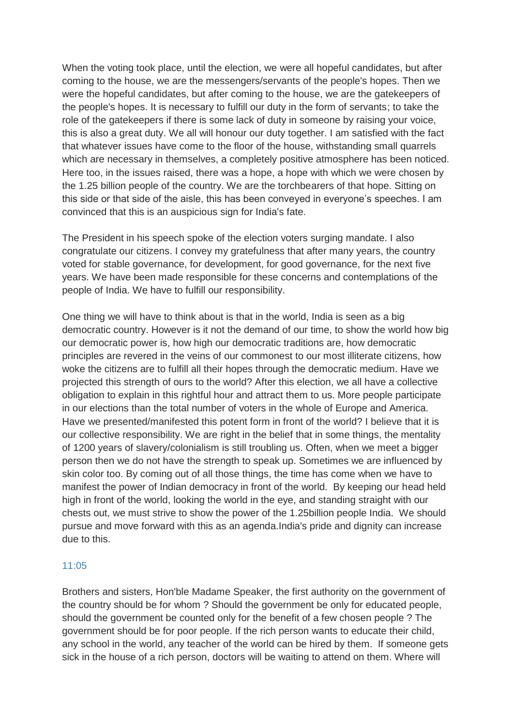When the voting took place, until the election, we were all hopeful candidates, but after coming to the house, we are the messengers/servants of the people's hopes. Then we were the hopeful candidates, but after coming to the house, we are the gatekeepers of the people's hopes. It is necessary to fulfill our duty in the form of servants; to take the role of the gatekeepers if there is some lack of duty in someone by raising your voice, this is also a great duty. We all will honour our duty together. I am satisfied with the fact that whatever issues have come to the floor of the house, withstanding small quarrels which are necessary in themselves, a completely positive atmosphere has been noticed. Here too, in the issues raised, there was a hope, a hope with which we were chosen by the 1.25 billion people of the country. We are the torchbearers of that hope. Sitting on this side or that side of the aisle, this has been conveyed in everyone's speeches. I am convinced that this is an auspicious sign for India's fate.

The President in his speech spoke of the election voters surging mandate. I also congratulate our citizens. I convey my gratefulness that after many years, the country voted for stable governance, for development, for good governance, for the next five years. We have been made responsible for these concerns and contemplations of the people of India. We have to fulfill our responsibility.

One thing we will have to think about is that in the world, India is seen as a big democratic country. However is it not the demand of our time, to show the world how big our democratic power is, how high our democratic traditions are, how democratic principles are revered in the veins of our commonest to our most illiterate citizens, how woke the citizens are to fulfill all their hopes through the democratic medium. Have we projected this strength of ours to the world? After this election, we all have a collective obligation to explain in this rightful hour and attract them to us. More people participate in our elections than the total number of voters in the whole of Europe and America. Have we presented/manifested this potent form in front of the world? I believe that it is our collective responsibility. We are right in the belief that in some things, the mentality of 1200 years of slavery/colonialism is still troubling us. Often, when we meet a bigger person then we do not have the strength to speak up. Sometimes we are influenced by skin color too. By coming out of all those things, the time has come when we have to manifest the power of Indian democracy in front of the world. By keeping our head held high in front of the world, looking the world in the eye, and standing straight with our chests out, we must strive to show the power of the 1.25billion people India. We should pursue and move forward with this as an agenda.India's pride and dignity can increase due to this.

## 11:05

Brothers and sisters, Hon'ble Madame Speaker, the first authority on the government of the country should be for whom ? Should the government be only for educated people, should the government be counted only for the benefit of a few chosen people ? The government should be for poor people. If the rich person wants to educate their child, any school in the world, any teacher of the world can be hired by them. If someone gets sick in the house of a rich person, doctors will be waiting to attend on them. Where will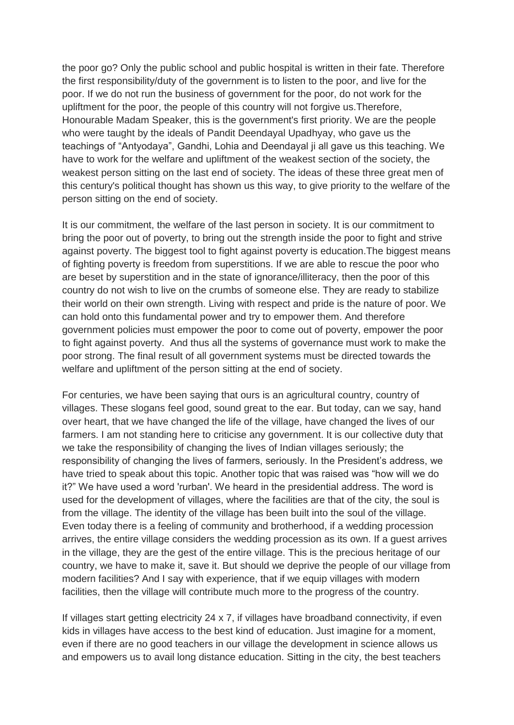the poor go? Only the public school and public hospital is written in their fate. Therefore the first responsibility/duty of the government is to listen to the poor, and live for the poor. If we do not run the business of government for the poor, do not work for the upliftment for the poor, the people of this country will not forgive us.Therefore, Honourable Madam Speaker, this is the government's first priority. We are the people who were taught by the ideals of Pandit Deendayal Upadhyay, who gave us the teachings of "Antyodaya", Gandhi, Lohia and Deendayal ji all gave us this teaching. We have to work for the welfare and upliftment of the weakest section of the society, the weakest person sitting on the last end of society. The ideas of these three great men of this century's political thought has shown us this way, to give priority to the welfare of the person sitting on the end of society.

It is our commitment, the welfare of the last person in society. It is our commitment to bring the poor out of poverty, to bring out the strength inside the poor to fight and strive against poverty. The biggest tool to fight against poverty is education.The biggest means of fighting poverty is freedom from superstitions. If we are able to rescue the poor who are beset by superstition and in the state of ignorance/illiteracy, then the poor of this country do not wish to live on the crumbs of someone else. They are ready to stabilize their world on their own strength. Living with respect and pride is the nature of poor. We can hold onto this fundamental power and try to empower them. And therefore government policies must empower the poor to come out of poverty, empower the poor to fight against poverty. And thus all the systems of governance must work to make the poor strong. The final result of all government systems must be directed towards the welfare and upliftment of the person sitting at the end of society.

For centuries, we have been saying that ours is an agricultural country, country of villages. These slogans feel good, sound great to the ear. But today, can we say, hand over heart, that we have changed the life of the village, have changed the lives of our farmers. I am not standing here to criticise any government. It is our collective duty that we take the responsibility of changing the lives of Indian villages seriously; the responsibility of changing the lives of farmers, seriously. In the President's address, we have tried to speak about this topic. Another topic that was raised was "how will we do it?" We have used a word 'rurban'. We heard in the presidential address. The word is used for the development of villages, where the facilities are that of the city, the soul is from the village. The identity of the village has been built into the soul of the village. Even today there is a feeling of community and brotherhood, if a wedding procession arrives, the entire village considers the wedding procession as its own. If a guest arrives in the village, they are the gest of the entire village. This is the precious heritage of our country, we have to make it, save it. But should we deprive the people of our village from modern facilities? And I say with experience, that if we equip villages with modern facilities, then the village will contribute much more to the progress of the country.

If villages start getting electricity 24 x 7, if villages have broadband connectivity, if even kids in villages have access to the best kind of education. Just imagine for a moment, even if there are no good teachers in our village the development in science allows us and empowers us to avail long distance education. Sitting in the city, the best teachers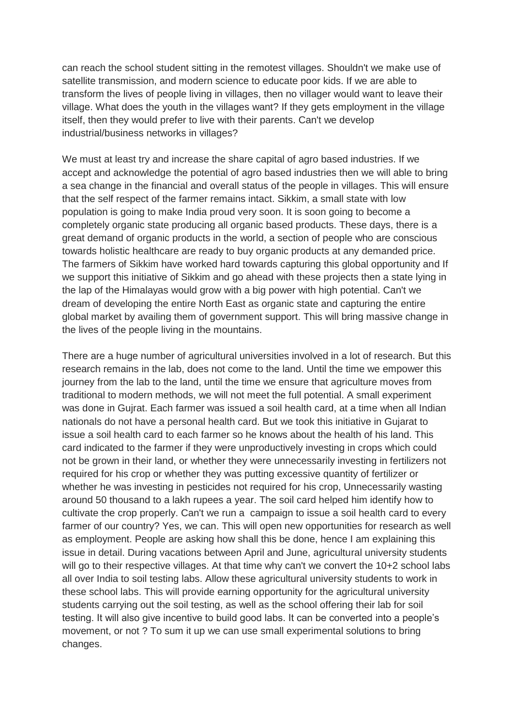can reach the school student sitting in the remotest villages. Shouldn't we make use of satellite transmission, and modern science to educate poor kids. If we are able to transform the lives of people living in villages, then no villager would want to leave their village. What does the youth in the villages want? If they gets employment in the village itself, then they would prefer to live with their parents. Can't we develop industrial/business networks in villages?

We must at least try and increase the share capital of agro based industries. If we accept and acknowledge the potential of agro based industries then we will able to bring a sea change in the financial and overall status of the people in villages. This will ensure that the self respect of the farmer remains intact. Sikkim, a small state with low population is going to make India proud very soon. It is soon going to become a completely organic state producing all organic based products. These days, there is a great demand of organic products in the world, a section of people who are conscious towards holistic healthcare are ready to buy organic products at any demanded price. The farmers of Sikkim have worked hard towards capturing this global opportunity and If we support this initiative of Sikkim and go ahead with these projects then a state lying in the lap of the Himalayas would grow with a big power with high potential. Can't we dream of developing the entire North East as organic state and capturing the entire global market by availing them of government support. This will bring massive change in the lives of the people living in the mountains.

There are a huge number of agricultural universities involved in a lot of research. But this research remains in the lab, does not come to the land. Until the time we empower this journey from the lab to the land, until the time we ensure that agriculture moves from traditional to modern methods, we will not meet the full potential. A small experiment was done in Gujrat. Each farmer was issued a soil health card, at a time when all Indian nationals do not have a personal health card. But we took this initiative in Gujarat to issue a soil health card to each farmer so he knows about the health of his land. This card indicated to the farmer if they were unproductively investing in crops which could not be grown in their land, or whether they were unnecessarily investing in fertilizers not required for his crop or whether they was putting excessive quantity of fertilizer or whether he was investing in pesticides not required for his crop, Unnecessarily wasting around 50 thousand to a lakh rupees a year. The soil card helped him identify how to cultivate the crop properly. Can't we run a campaign to issue a soil health card to every farmer of our country? Yes, we can. This will open new opportunities for research as well as employment. People are asking how shall this be done, hence I am explaining this issue in detail. During vacations between April and June, agricultural university students will go to their respective villages. At that time why can't we convert the 10+2 school labs all over India to soil testing labs. Allow these agricultural university students to work in these school labs. This will provide earning opportunity for the agricultural university students carrying out the soil testing, as well as the school offering their lab for soil testing. It will also give incentive to build good labs. It can be converted into a people's movement, or not ? To sum it up we can use small experimental solutions to bring changes.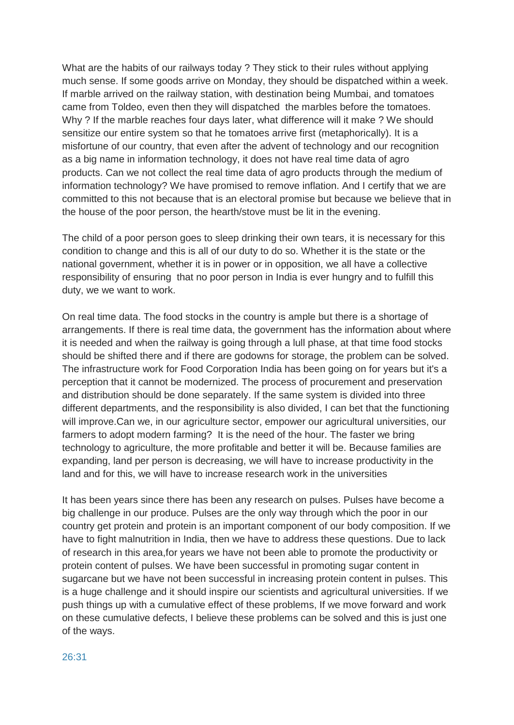What are the habits of our railways today ? They stick to their rules without applying much sense. If some goods arrive on Monday, they should be dispatched within a week. If marble arrived on the railway station, with destination being Mumbai, and tomatoes came from Toldeo, even then they will dispatched the marbles before the tomatoes. Why ? If the marble reaches four days later, what difference will it make ? We should sensitize our entire system so that he tomatoes arrive first (metaphorically). It is a misfortune of our country, that even after the advent of technology and our recognition as a big name in information technology, it does not have real time data of agro products. Can we not collect the real time data of agro products through the medium of information technology? We have promised to remove inflation. And I certify that we are committed to this not because that is an electoral promise but because we believe that in the house of the poor person, the hearth/stove must be lit in the evening.

The child of a poor person goes to sleep drinking their own tears, it is necessary for this condition to change and this is all of our duty to do so. Whether it is the state or the national government, whether it is in power or in opposition, we all have a collective responsibility of ensuring that no poor person in India is ever hungry and to fulfill this duty, we we want to work.

On real time data. The food stocks in the country is ample but there is a shortage of arrangements. If there is real time data, the government has the information about where it is needed and when the railway is going through a lull phase, at that time food stocks should be shifted there and if there are godowns for storage, the problem can be solved. The infrastructure work for Food Corporation India has been going on for years but it's a perception that it cannot be modernized. The process of procurement and preservation and distribution should be done separately. If the same system is divided into three different departments, and the responsibility is also divided, I can bet that the functioning will improve.Can we, in our agriculture sector, empower our agricultural universities, our farmers to adopt modern farming? It is the need of the hour. The faster we bring technology to agriculture, the more profitable and better it will be. Because families are expanding, land per person is decreasing, we will have to increase productivity in the land and for this, we will have to increase research work in the universities

It has been years since there has been any research on pulses. Pulses have become a big challenge in our produce. Pulses are the only way through which the poor in our country get protein and protein is an important component of our body composition. If we have to fight malnutrition in India, then we have to address these questions. Due to lack of research in this area,for years we have not been able to promote the productivity or protein content of pulses. We have been successful in promoting sugar content in sugarcane but we have not been successful in increasing protein content in pulses. This is a huge challenge and it should inspire our scientists and agricultural universities. If we push things up with a cumulative effect of these problems, If we move forward and work on these cumulative defects, I believe these problems can be solved and this is just one of the ways.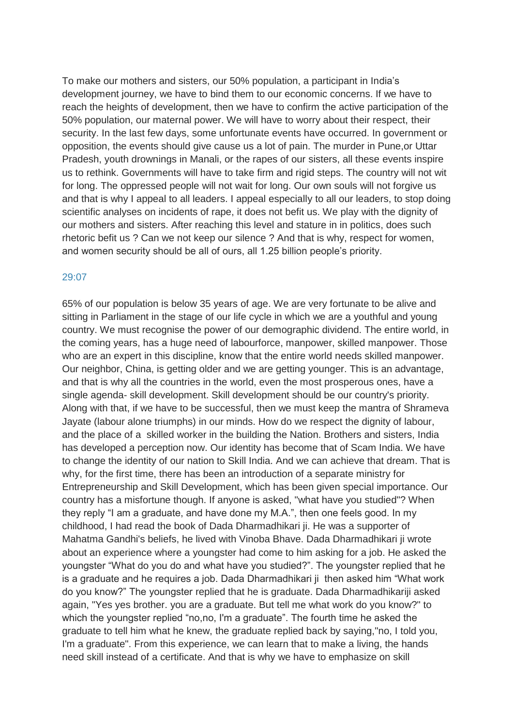To make our mothers and sisters, our 50% population, a participant in India's development journey, we have to bind them to our economic concerns. If we have to reach the heights of development, then we have to confirm the active participation of the 50% population, our maternal power. We will have to worry about their respect, their security. In the last few days, some unfortunate events have occurred. In government or opposition, the events should give cause us a lot of pain. The murder in Pune,or Uttar Pradesh, youth drownings in Manali, or the rapes of our sisters, all these events inspire us to rethink. Governments will have to take firm and rigid steps. The country will not wit for long. The oppressed people will not wait for long. Our own souls will not forgive us and that is why I appeal to all leaders. I appeal especially to all our leaders, to stop doing scientific analyses on incidents of rape, it does not befit us. We play with the dignity of our mothers and sisters. After reaching this level and stature in in politics, does such rhetoric befit us ? Can we not keep our silence ? And that is why, respect for women, and women security should be all of ours, all 1.25 billion people's priority.

## 29:07

65% of our population is below 35 years of age. We are very fortunate to be alive and sitting in Parliament in the stage of our life cycle in which we are a youthful and young country. We must recognise the power of our demographic dividend. The entire world, in the coming years, has a huge need of labourforce, manpower, skilled manpower. Those who are an expert in this discipline, know that the entire world needs skilled manpower. Our neighbor, China, is getting older and we are getting younger. This is an advantage, and that is why all the countries in the world, even the most prosperous ones, have a single agenda- skill development. Skill development should be our country's priority. Along with that, if we have to be successful, then we must keep the mantra of Shrameva Jayate (labour alone triumphs) in our minds. How do we respect the dignity of labour, and the place of a skilled worker in the building the Nation. Brothers and sisters, India has developed a perception now. Our identity has become that of Scam India. We have to change the identity of our nation to Skill India. And we can achieve that dream. That is why, for the first time, there has been an introduction of a separate ministry for Entrepreneurship and Skill Development, which has been given special importance. Our country has a misfortune though. If anyone is asked, "what have you studied"? When they reply "I am a graduate, and have done my M.A.", then one feels good. In my childhood, I had read the book of Dada Dharmadhikari ji. He was a supporter of Mahatma Gandhi's beliefs, he lived with Vinoba Bhave. Dada Dharmadhikari ji wrote about an experience where a youngster had come to him asking for a job. He asked the youngster "What do you do and what have you studied?". The youngster replied that he is a graduate and he requires a job. Dada Dharmadhikari ji then asked him "What work do you know?" The youngster replied that he is graduate. Dada Dharmadhikariji asked again, "Yes yes brother. you are a graduate. But tell me what work do you know?" to which the youngster replied "no,no, I'm a graduate". The fourth time he asked the graduate to tell him what he knew, the graduate replied back by saying,"no, I told you, I'm a graduate". From this experience, we can learn that to make a living, the hands need skill instead of a certificate. And that is why we have to emphasize on skill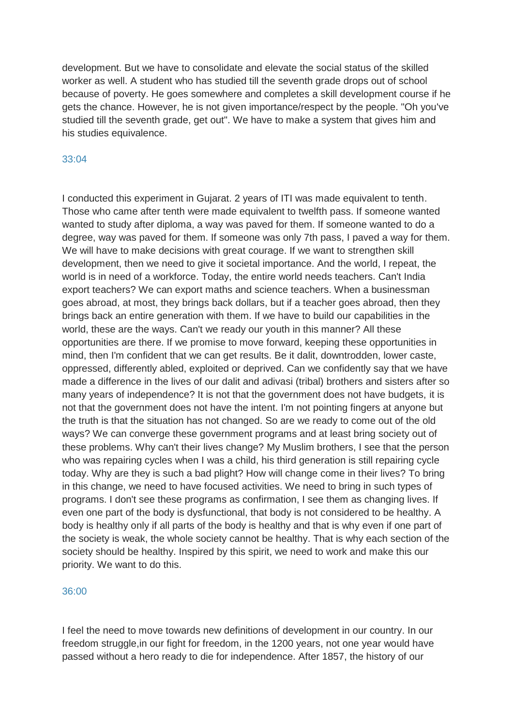development. But we have to consolidate and elevate the social status of the skilled worker as well. A student who has studied till the seventh grade drops out of school because of poverty. He goes somewhere and completes a skill development course if he gets the chance. However, he is not given importance/respect by the people. "Oh you've studied till the seventh grade, get out". We have to make a system that gives him and his studies equivalence.

## 33:04

I conducted this experiment in Gujarat. 2 years of ITI was made equivalent to tenth. Those who came after tenth were made equivalent to twelfth pass. If someone wanted wanted to study after diploma, a way was paved for them. If someone wanted to do a degree, way was paved for them. If someone was only 7th pass, I paved a way for them. We will have to make decisions with great courage. If we want to strengthen skill development, then we need to give it societal importance. And the world, I repeat, the world is in need of a workforce. Today, the entire world needs teachers. Can't India export teachers? We can export maths and science teachers. When a businessman goes abroad, at most, they brings back dollars, but if a teacher goes abroad, then they brings back an entire generation with them. If we have to build our capabilities in the world, these are the ways. Can't we ready our youth in this manner? All these opportunities are there. If we promise to move forward, keeping these opportunities in mind, then I'm confident that we can get results. Be it dalit, downtrodden, lower caste, oppressed, differently abled, exploited or deprived. Can we confidently say that we have made a difference in the lives of our dalit and adivasi (tribal) brothers and sisters after so many years of independence? It is not that the government does not have budgets, it is not that the government does not have the intent. I'm not pointing fingers at anyone but the truth is that the situation has not changed. So are we ready to come out of the old ways? We can converge these government programs and at least bring society out of these problems. Why can't their lives change? My Muslim brothers, I see that the person who was repairing cycles when I was a child, his third generation is still repairing cycle today. Why are they is such a bad plight? How will change come in their lives? To bring in this change, we need to have focused activities. We need to bring in such types of programs. I don't see these programs as confirmation, I see them as changing lives. If even one part of the body is dysfunctional, that body is not considered to be healthy. A body is healthy only if all parts of the body is healthy and that is why even if one part of the society is weak, the whole society cannot be healthy. That is why each section of the society should be healthy. Inspired by this spirit, we need to work and make this our priority. We want to do this.

#### 36:00

I feel the need to move towards new definitions of development in our country. In our freedom struggle,in our fight for freedom, in the 1200 years, not one year would have passed without a hero ready to die for independence. After 1857, the history of our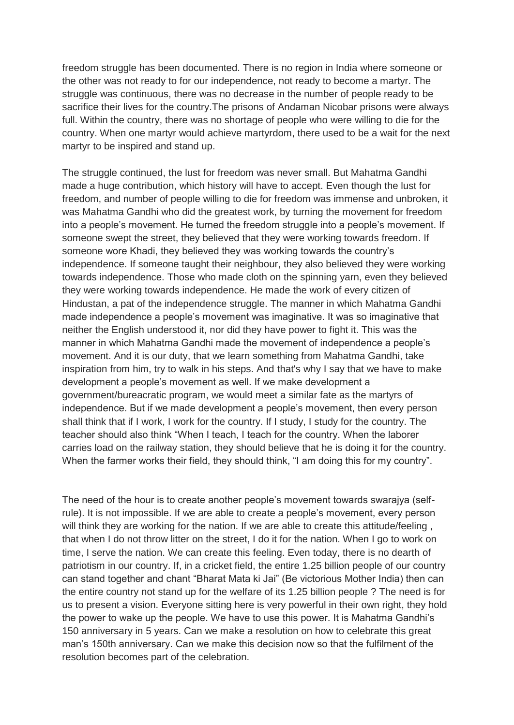freedom struggle has been documented. There is no region in India where someone or the other was not ready to for our independence, not ready to become a martyr. The struggle was continuous, there was no decrease in the number of people ready to be sacrifice their lives for the country.The prisons of Andaman Nicobar prisons were always full. Within the country, there was no shortage of people who were willing to die for the country. When one martyr would achieve martyrdom, there used to be a wait for the next martyr to be inspired and stand up.

The struggle continued, the lust for freedom was never small. But Mahatma Gandhi made a huge contribution, which history will have to accept. Even though the lust for freedom, and number of people willing to die for freedom was immense and unbroken, it was Mahatma Gandhi who did the greatest work, by turning the movement for freedom into a people's movement. He turned the freedom struggle into a people's movement. If someone swept the street, they believed that they were working towards freedom. If someone wore Khadi, they believed they was working towards the country's independence. If someone taught their neighbour, they also believed they were working towards independence. Those who made cloth on the spinning yarn, even they believed they were working towards independence. He made the work of every citizen of Hindustan, a pat of the independence struggle. The manner in which Mahatma Gandhi made independence a people's movement was imaginative. It was so imaginative that neither the English understood it, nor did they have power to fight it. This was the manner in which Mahatma Gandhi made the movement of independence a people's movement. And it is our duty, that we learn something from Mahatma Gandhi, take inspiration from him, try to walk in his steps. And that's why I say that we have to make development a people's movement as well. If we make development a government/bureacratic program, we would meet a similar fate as the martyrs of independence. But if we made development a people's movement, then every person shall think that if I work, I work for the country. If I study, I study for the country. The teacher should also think "When I teach, I teach for the country. When the laborer carries load on the railway station, they should believe that he is doing it for the country. When the farmer works their field, they should think, "I am doing this for my country".

The need of the hour is to create another people's movement towards swarajya (selfrule). It is not impossible. If we are able to create a people's movement, every person will think they are working for the nation. If we are able to create this attitude/feeling, that when I do not throw litter on the street, I do it for the nation. When I go to work on time, I serve the nation. We can create this feeling. Even today, there is no dearth of patriotism in our country. If, in a cricket field, the entire 1.25 billion people of our country can stand together and chant "Bharat Mata ki Jai" (Be victorious Mother India) then can the entire country not stand up for the welfare of its 1.25 billion people ? The need is for us to present a vision. Everyone sitting here is very powerful in their own right, they hold the power to wake up the people. We have to use this power. It is Mahatma Gandhi's 150 anniversary in 5 years. Can we make a resolution on how to celebrate this great man's 150th anniversary. Can we make this decision now so that the fulfilment of the resolution becomes part of the celebration.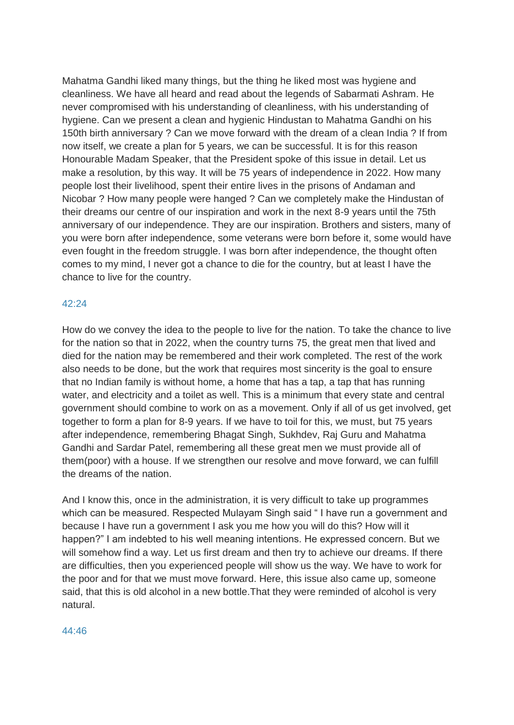Mahatma Gandhi liked many things, but the thing he liked most was hygiene and cleanliness. We have all heard and read about the legends of Sabarmati Ashram. He never compromised with his understanding of cleanliness, with his understanding of hygiene. Can we present a clean and hygienic Hindustan to Mahatma Gandhi on his 150th birth anniversary ? Can we move forward with the dream of a clean India ? If from now itself, we create a plan for 5 years, we can be successful. It is for this reason Honourable Madam Speaker, that the President spoke of this issue in detail. Let us make a resolution, by this way. It will be 75 years of independence in 2022. How many people lost their livelihood, spent their entire lives in the prisons of Andaman and Nicobar ? How many people were hanged ? Can we completely make the Hindustan of their dreams our centre of our inspiration and work in the next 8-9 years until the 75th anniversary of our independence. They are our inspiration. Brothers and sisters, many of you were born after independence, some veterans were born before it, some would have even fought in the freedom struggle. I was born after independence, the thought often comes to my mind, I never got a chance to die for the country, but at least I have the chance to live for the country.

# 42:24

How do we convey the idea to the people to live for the nation. To take the chance to live for the nation so that in 2022, when the country turns 75, the great men that lived and died for the nation may be remembered and their work completed. The rest of the work also needs to be done, but the work that requires most sincerity is the goal to ensure that no Indian family is without home, a home that has a tap, a tap that has running water, and electricity and a toilet as well. This is a minimum that every state and central government should combine to work on as a movement. Only if all of us get involved, get together to form a plan for 8-9 years. If we have to toil for this, we must, but 75 years after independence, remembering Bhagat Singh, Sukhdev, Raj Guru and Mahatma Gandhi and Sardar Patel, remembering all these great men we must provide all of them(poor) with a house. If we strengthen our resolve and move forward, we can fulfill the dreams of the nation.

And I know this, once in the administration, it is very difficult to take up programmes which can be measured. Respected Mulayam Singh said " I have run a government and because I have run a government I ask you me how you will do this? How will it happen?" I am indebted to his well meaning intentions. He expressed concern. But we will somehow find a way. Let us first dream and then try to achieve our dreams. If there are difficulties, then you experienced people will show us the way. We have to work for the poor and for that we must move forward. Here, this issue also came up, someone said, that this is old alcohol in a new bottle.That they were reminded of alcohol is very natural.

#### 44:46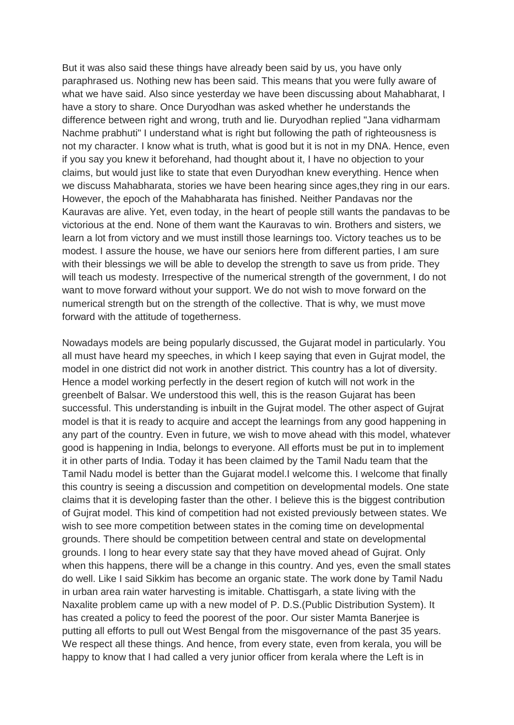But it was also said these things have already been said by us, you have only paraphrased us. Nothing new has been said. This means that you were fully aware of what we have said. Also since yesterday we have been discussing about Mahabharat, I have a story to share. Once Duryodhan was asked whether he understands the difference between right and wrong, truth and lie. Duryodhan replied "Jana vidharmam Nachme prabhuti" I understand what is right but following the path of righteousness is not my character. I know what is truth, what is good but it is not in my DNA. Hence, even if you say you knew it beforehand, had thought about it, I have no objection to your claims, but would just like to state that even Duryodhan knew everything. Hence when we discuss Mahabharata, stories we have been hearing since ages,they ring in our ears. However, the epoch of the Mahabharata has finished. Neither Pandavas nor the Kauravas are alive. Yet, even today, in the heart of people still wants the pandavas to be victorious at the end. None of them want the Kauravas to win. Brothers and sisters, we learn a lot from victory and we must instill those learnings too. Victory teaches us to be modest. I assure the house, we have our seniors here from different parties, I am sure with their blessings we will be able to develop the strength to save us from pride. They will teach us modesty. Irrespective of the numerical strength of the government, I do not want to move forward without your support. We do not wish to move forward on the numerical strength but on the strength of the collective. That is why, we must move forward with the attitude of togetherness.

Nowadays models are being popularly discussed, the Gujarat model in particularly. You all must have heard my speeches, in which I keep saying that even in Gujrat model, the model in one district did not work in another district. This country has a lot of diversity. Hence a model working perfectly in the desert region of kutch will not work in the greenbelt of Balsar. We understood this well, this is the reason Gujarat has been successful. This understanding is inbuilt in the Gujrat model. The other aspect of Gujrat model is that it is ready to acquire and accept the learnings from any good happening in any part of the country. Even in future, we wish to move ahead with this model, whatever good is happening in India, belongs to everyone. All efforts must be put in to implement it in other parts of India. Today it has been claimed by the Tamil Nadu team that the Tamil Nadu model is better than the Gujarat model.I welcome this. I welcome that finally this country is seeing a discussion and competition on developmental models. One state claims that it is developing faster than the other. I believe this is the biggest contribution of Gujrat model. This kind of competition had not existed previously between states. We wish to see more competition between states in the coming time on developmental grounds. There should be competition between central and state on developmental grounds. I long to hear every state say that they have moved ahead of Gujrat. Only when this happens, there will be a change in this country. And yes, even the small states do well. Like I said Sikkim has become an organic state. The work done by Tamil Nadu in urban area rain water harvesting is imitable. Chattisgarh, a state living with the Naxalite problem came up with a new model of P. D.S.(Public Distribution System). It has created a policy to feed the poorest of the poor. Our sister Mamta Banerjee is putting all efforts to pull out West Bengal from the misgovernance of the past 35 years. We respect all these things. And hence, from every state, even from kerala, you will be happy to know that I had called a very junior officer from kerala where the Left is in